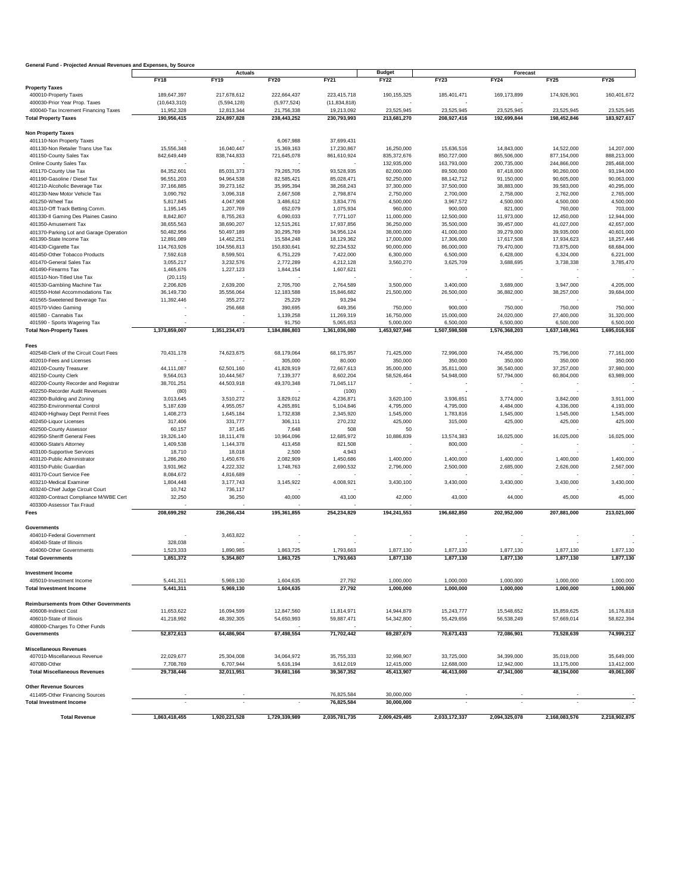## **General Fund - Projected Annual Revenues and Expenses, by Source**

| General Fund - Frojected Annual Revenues and Expenses, by Source | <b>Actuals</b>          |                         |                         |                         | <b>Budget</b>            | Forecast                 |                          |                          |                          |  |
|------------------------------------------------------------------|-------------------------|-------------------------|-------------------------|-------------------------|--------------------------|--------------------------|--------------------------|--------------------------|--------------------------|--|
|                                                                  | <b>FY18</b>             | <b>FY19</b>             | <b>FY20</b>             | <b>FY21</b>             | <b>FY22</b>              | <b>FY23</b>              | <b>FY24</b>              | <b>FY25</b>              | <b>FY26</b>              |  |
| <b>Property Taxes</b>                                            |                         |                         |                         |                         |                          |                          |                          |                          |                          |  |
| 400010-Property Taxes                                            | 189,647,397             | 217,678,612             | 222,664,437             | 223,415,718             | 190, 155, 325            | 185,401,471              | 169,173,899              | 174,926,901              | 160,401,672              |  |
| 400030-Prior Year Prop. Taxes                                    | (10, 643, 310)          | (5,594,128)             | (5,977,524)             | (11, 834, 818)          |                          |                          |                          |                          |                          |  |
| 400040-Tax Increment Financing Taxes                             | 11,952,328              | 12,813,344              | 21,756,338              | 19,213,092              | 23,525,945               | 23,525,945               | 23,525,945               | 23,525,945               | 23,525,945               |  |
| <b>Total Property Taxes</b>                                      | 190,956,415             | 224,897,828             | 238,443,252             | 230,793,993             | 213,681,270              | 208,927,416              | 192,699,844              | 198,452,846              | 183,927,617              |  |
|                                                                  |                         |                         |                         |                         |                          |                          |                          |                          |                          |  |
| <b>Non Property Taxes</b><br>401110-Non Property Taxes           |                         |                         | 6,067,988               | 37,699,431              |                          |                          |                          |                          |                          |  |
| 401130-Non Retailer Trans Use Tax                                | 15,556,348              | 16,040,447              | 15,369,163              | 17,230,867              | 16,250,000               | 15,636,516               | 14,843,000               | 14,522,000               | 14,207,000               |  |
| 401150-County Sales Tax                                          | 842,649,449             | 838,744,833             | 721,645,078             | 861,610,924             | 835,372,676              | 850,727,000              | 865,506,000              | 877,154,000              | 888,213,000              |  |
| Online County Sales Tax                                          |                         |                         |                         |                         | 132,935,000              | 163,793,000              | 200,735,000              | 244,866,000              | 285,468,000              |  |
| 401170-County Use Tax                                            | 84,352,601              | 85,031,373              | 79,265,705              | 93,528,935              | 82,000,000               | 89,500,000               | 87,418,000               | 90,260,000               | 93,194,000               |  |
| 401190-Gasoline / Diesel Tax                                     | 96,551,203              | 94,964,538              | 82,585,421              | 85,028,471              | 92,250,000               | 88,142,712               | 91,150,000               | 90,605,000               | 90,063,000               |  |
| 401210-Alcoholic Beverage Tax                                    | 37,166,885              | 39,273,162              | 35,995,394              | 38,268,243              | 37,300,000               | 37,500,000               | 38,883,000               | 39,583,000               | 40,295,000               |  |
| 401230-New Motor Vehicle Tax                                     | 3,090,792               | 3,096,318               | 2,667,508               | 2,798,874               | 2,750,000                | 2,700,000                | 2,758,000                | 2,762,000                | 2,765,000                |  |
| 401250-Wheel Tax                                                 | 5,817,845               | 4,047,908               | 3,486,612               | 3,834,776               | 4,500,000                | 3,967,572                | 4,500,000                | 4,500,000                | 4,500,000                |  |
| 401310-Off Track Betting Comm.                                   | 1,195,145               | 1,207,769               | 652,079                 | 1,075,934               | 960,000                  | 900,000                  | 821,000                  | 760,000                  | 703,000                  |  |
| 401330-II Gaming Des Plaines Casino                              | 8,842,807               | 8,755,263               | 6,090,033               | 7,771,107               | 11,000,000               | 12,500,000               | 11,973,000               | 12,450,000               | 12,944,000               |  |
| 401350-Amusement Tax                                             | 38,655,563              | 38,690,207              | 12,515,261              | 17,937,856              | 36,250,000               | 35,500,000               | 39,457,000               | 41,027,000               | 42,657,000               |  |
| 401370-Parking Lot and Garage Operation                          | 50,482,956              | 50,497,189              | 30,295,769              | 34,956,124              | 38,000,000               | 41,000,000               | 39,279,000               | 39,935,000               | 40,601,000               |  |
| 401390-State Income Tax                                          | 12,891,089              | 14,462,251              | 15,584,248              | 18,129,362              | 17,000,000               | 17,306,000               | 17,617,508               | 17,934,623               | 18,257,446               |  |
| 401430-Cigarette Tax                                             | 114,763,926             | 104,556,813             | 150,830,641             | 92,234,532              | 90,000,000               | 86,000,000               | 79,470,000               | 73,875,000               | 68,684,000               |  |
| 401450-Other Tobacco Products                                    | 7,592,618               | 8,599,501               | 6,751,229               | 7,422,000               | 6,300,000                | 6,500,000                | 6,428,000                | 6,324,000                | 6,221,000                |  |
| 401470-General Sales Tax                                         | 3,055,217               | 3,232,576               | 2,772,289               | 4,212,128               | 3,560,270                | 3,625,709                | 3,688,695                | 3,738,338                | 3,785,470                |  |
| 401490-Firearms Tax                                              | 1,465,676               | 1,227,123               | 1,844,154               | 1,607,621               |                          |                          |                          |                          |                          |  |
| 401510-Non-Titled Use Tax                                        | (20, 115)               |                         |                         |                         |                          |                          |                          |                          |                          |  |
| 401530-Gambling Machine Tax                                      | 2,206,826               | 2,639,200               | 2,705,700               | 2,764,589               | 3,500,000                | 3,400,000                | 3,689,000                | 3,947,000                | 4,205,000                |  |
| 401550-Hotel Accommodations Tax                                  | 36,149,730              | 35,556,064              | 12,183,588              | 15,846,682              | 21,500,000               | 26,500,000               | 36,882,000               | 38,257,000               | 39,684,000               |  |
| 401565-Sweetened Beverage Tax                                    | 11,392,446              | 355,272                 | 25,229                  | 93,294                  |                          |                          |                          |                          |                          |  |
| 401570-Video Gaming                                              |                         | 256,668                 | 390,695                 | 649,356                 | 750,000                  | 900,000                  | 750,000                  | 750,000                  | 750,000                  |  |
| 401580 - Cannabis Tax                                            |                         |                         | 1,139,258               | 11,269,319              | 16,750,000               | 15,000,000               | 24,020,000               | 27,400,000               | 31,320,000               |  |
| 401590 - Sports Wagering Tax                                     |                         |                         | 91,750                  | 5,065,653               | 5,000,000                | 6,500,000                | 6,500,000                | 6,500,000                | 6,500,000                |  |
| <b>Total Non-Property Taxes</b>                                  | 1,373,859,007           | 1,351,234,473           | 1,184,886,803           | 1,361,036,080           | 1,453,927,946            | 1,507,598,508            | 1,576,368,203            | 1,637,149,961            | 1,695,016,916            |  |
| <b>Fees</b>                                                      |                         |                         |                         |                         |                          |                          |                          |                          |                          |  |
| 402548-Clerk of the Circuit Court Fees                           | 70,431,178              | 74,623,675              | 68,179,064              | 68,175,957              | 71,425,000               | 72,996,000               | 74,456,000               | 75,796,000               | 77,161,000               |  |
| 402010-Fees and Licenses                                         |                         |                         | 305,000                 | 80,000                  | 350,000                  | 350,000                  | 350,000                  | 350,000                  | 350,000                  |  |
| 402100-County Treasurer                                          | 44,111,087              | 62,501,160              | 41,828,919              | 72,667,613              | 35,000,000               | 35,811,000               | 36,540,000               | 37,257,000               | 37,980,000               |  |
| 402150-County Clerk                                              | 9,564,013               | 10,444,567              | 7,139,377               | 8,602,204               | 58,526,464               | 54,948,000               | 57,794,000               | 60,804,000               | 63,989,000               |  |
| 402200-County Recorder and Registrar                             | 38,701,251              | 44,503,918              | 49,370,348              | 71,045,117              |                          |                          |                          |                          |                          |  |
| 402250-Recorder Audit Revenues                                   | (80)                    |                         |                         | (100)                   |                          |                          |                          |                          |                          |  |
| 402300-Building and Zoning                                       | 3,013,645               | 3,510,272               | 3,829,012               | 4,236,871               | 3,620,100                | 3,936,651                | 3,774,000                | 3,842,000                | 3,911,000                |  |
| 402350-Environmental Control                                     | 5,187,639               | 4,955,057               | 4,265,891               | 5,104,846               | 4,795,000                | 4,795,000                | 4,484,000                | 4,336,000                | 4,193,000                |  |
| 402400-Highway Dept Permit Fees                                  | 1,408,273               | 1,645,184               | 1,732,838               | 2,345,920               | 1,545,000                | 1,783,816                | 1,545,000                | 1,545,000                | 1,545,000                |  |
| 402450-Liquor Licenses                                           | 317,406                 | 331,777                 | 306,111                 | 270,232                 | 425,000                  | 315,000                  | 425,000                  | 425,000                  | 425,000                  |  |
| 402500-County Assessor                                           | 60,157                  | 37,145                  | 7,648                   | 508                     | 50                       |                          |                          |                          |                          |  |
| 402950-Sheriff General Fees                                      | 19,326,140              | 18,111,478              | 10,964,096              | 12,685,972              | 10,886,839               | 13,574,383               | 16,025,000               | 16,025,000               | 16,025,000               |  |
| 403060-State's Attorney                                          | 1,409,538               | 1,144,378               | 413,458                 | 821,508                 |                          | 800,000                  |                          |                          |                          |  |
| 403100-Supportive Services                                       | 18,710                  | 18,018                  | 2,500                   | 4,943                   |                          |                          |                          |                          |                          |  |
| 403120-Public Administrator                                      | 1,286,260               | 1,450,676               | 2,082,909               | 1,450,686               | 1,400,000                | 1,400,000                | 1,400,000                | 1,400,000                | 1,400,000                |  |
| 403150-Public Guardian                                           | 3,931,962               | 4,222,332               | 1,748,763               | 2,690,532               | 2,796,000                | 2,500,000                | 2,685,000                | 2,626,000                | 2,567,000                |  |
| 403170-Court Service Fee                                         | 8,084,672               | 4,816,689               |                         |                         |                          |                          |                          |                          |                          |  |
| 403210-Medical Examiner                                          | 1,804,448               | 3, 177, 743             | 3,145,922               | 4,008,921               | 3,430,100                | 3,430,000                | 3,430,000                | 3,430,000                | 3,430,000                |  |
| 403240-Chief Judge Circuit Court                                 | 10,742                  | 736,117                 |                         |                         |                          |                          |                          |                          |                          |  |
| 403280-Contract Compliance M/WBE Cert                            | 32,250                  | 36,250                  | 40,000                  | 43,100                  | 42,000                   | 43,000                   | 44,000                   | 45,000                   | 45,000                   |  |
| 403300-Assessor Tax Fraud                                        |                         |                         |                         |                         |                          |                          |                          |                          |                          |  |
| Fees                                                             | 208,699,292             | 236,266,434             | 195,361,855             | 254,234,829             | 194,241,553              | 196,682,850              | 202,952,000              | 207,881,000              | 213,021,000              |  |
|                                                                  |                         |                         |                         |                         |                          |                          |                          |                          |                          |  |
| <b>Governments</b>                                               |                         |                         |                         |                         |                          |                          |                          |                          |                          |  |
| 404010-Federal Government<br>404040-State of Illinois            | 328,038                 | 3,463,822               |                         |                         |                          |                          |                          |                          |                          |  |
| 404060-Other Governments                                         | 1,523,333               | 1,890,985               | 1,863,725               | 1,793,663               | 1,877,130                | 1,877,130                | 1,877,130                | 1,877,130                | 1,877,130                |  |
| <b>Total Governments</b>                                         | 1,851,372               | 5,354,807               | 1,863,725               | 1,793,663               | 1,877,130                | 1,877,130                | 1,877,130                | 1,877,130                | 1,877,130                |  |
|                                                                  |                         |                         |                         |                         |                          |                          |                          |                          |                          |  |
| <b>Investment Income</b>                                         |                         |                         |                         |                         |                          |                          |                          |                          |                          |  |
| 405010-Investment Income                                         | 5,441,311               | 5,969,130               | 1,604,635               | 27,792                  | 1,000,000                | 1,000,000                | 1,000,000                | 1,000,000                | 1,000,000                |  |
| <b>Total Investment Income</b>                                   | 5,441,311               | 5,969,130               | 1,604,635               | 27,792                  | 1,000,000                | 1,000,000                | 1,000,000                | 1,000,000                | 1,000,000                |  |
|                                                                  |                         |                         |                         |                         |                          |                          |                          |                          |                          |  |
| <b>Reimbursements from Other Governments</b>                     |                         |                         |                         |                         |                          |                          |                          |                          |                          |  |
| 406008-Indirect Cost                                             | 11,653,622              | 16,094,599              | 12,847,560              | 11,814,971              | 14,944,879               | 15,243,777               | 15,548,652               | 15,859,625               | 16,176,818               |  |
| 406010-State of Illinois                                         | 41,218,992              | 48,392,305              | 54,650,993              | 59,887,471              | 54,342,800               | 55,429,656               | 56,538,249               | 57,669,014               | 58,822,394               |  |
| 408000-Charges To Other Funds                                    |                         |                         |                         |                         |                          |                          |                          |                          |                          |  |
| <b>Governments</b>                                               | 52,872,613              | 64,486,904              | 67,498,554              | 71,702,442              | 69,287,679               | 70,673,433               | 72,086,901               | 73,528,639               | 74,999,212               |  |
|                                                                  |                         |                         |                         |                         |                          |                          |                          |                          |                          |  |
| <b>Miscellaneous Revenues</b><br>407010-Miscellaneous Revenue    |                         |                         |                         |                         | 32,998,907               |                          |                          |                          |                          |  |
| 407080-Other                                                     | 22,029,677<br>7,708,769 | 25,304,008<br>6,707,944 | 34,064,972<br>5,616,194 | 35,755,333<br>3,612,019 |                          | 33,725,000<br>12,688,000 | 34,399,000<br>12,942,000 | 35,019,000<br>13,175,000 | 35,649,000               |  |
| <b>Total Miscellaneous Revenues</b>                              | 29,738,446              | 32,011,951              | 39,681,166              | 39,367,352              | 12,415,000<br>45,413,907 | 46,413,000               | 47,341,000               | 48,194,000               | 13,412,000<br>49,061,000 |  |
|                                                                  |                         |                         |                         |                         |                          |                          |                          |                          |                          |  |
| <b>Other Revenue Sources</b>                                     |                         |                         |                         |                         |                          |                          |                          |                          |                          |  |
| 411495-Other Financing Sources                                   |                         |                         |                         | 76,825,584              | 30,000,000               |                          |                          |                          |                          |  |
| <b>Total Investment Income</b>                                   |                         |                         |                         | 76,825,584              | 30,000,000               |                          |                          |                          |                          |  |
|                                                                  |                         |                         |                         |                         |                          |                          |                          |                          |                          |  |
| <b>Total Revenue</b>                                             | 1,863,418,455           | 1,920,221,528           | 1,729,339,989           | 2,035,781,735           | 2,009,429,485            | 2,033,172,337            | 2,094,325,078            | 2,168,083,576            | 2,218,902,875            |  |